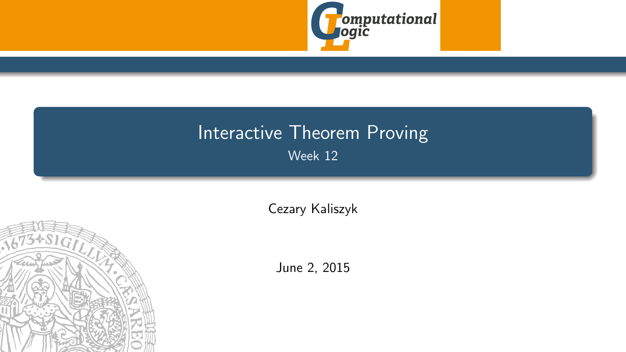

# <span id="page-0-0"></span>Interactive Theorem Proving Week 12

[Cezary Kaliszyk](http://cl-informatik.uibk.ac.at/~cek)



June 2, 2015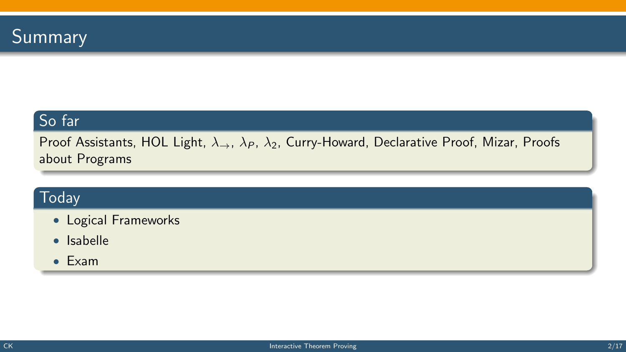

#### So far

Proof Assistants, HOL Light,  $\lambda_{\rightarrow}$ ,  $\lambda_P$ ,  $\lambda_2$ , Curry-Howard, Declarative Proof, Mizar, Proofs about Programs

### **Today**

- Logical Frameworks
- Isabelle
- Exam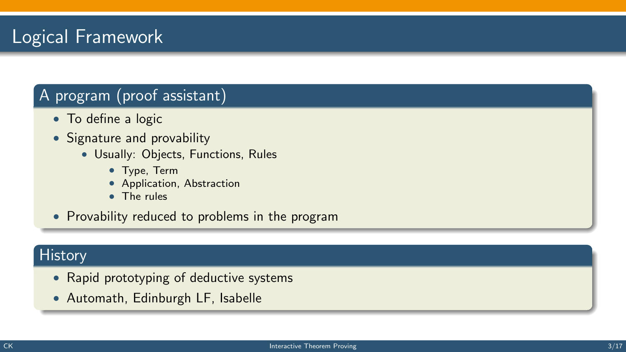# Logical Framework

#### A program (proof assistant)

- To define a logic
- Signature and provability
	- Usually: Objects, Functions, Rules
		- Type, Term
		- Application, Abstraction
		- The rules

• Provability reduced to problems in the program

#### **History**

- Rapid prototyping of deductive systems
- Automath, Edinburgh LF, Isabelle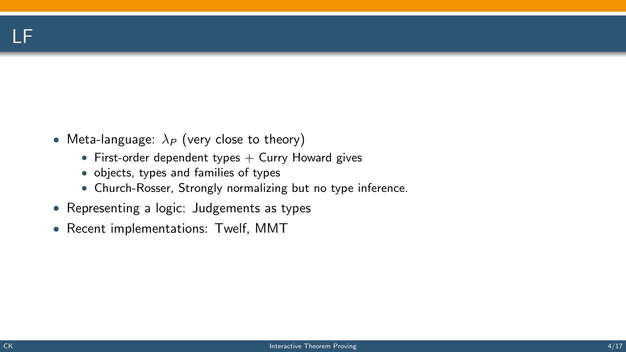# LF

- Meta-language:  $\lambda_P$  (very close to theory)
	- First-order dependent types  $+$  Curry Howard gives
	- objects, types and families of types
	- Church-Rosser, Strongly normalizing but no type inference.
- Representing a logic: Judgements as types
- Recent implementations: Twelf, MMT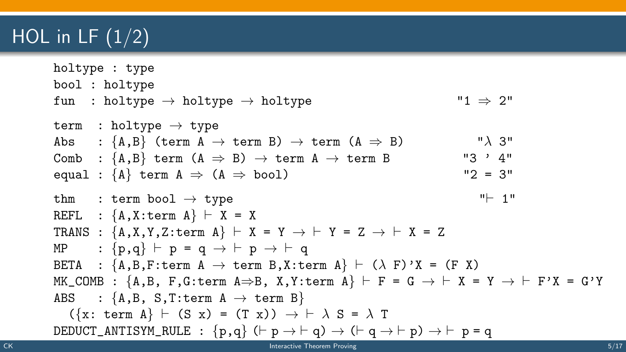# HOL in LF  $(1/2)$

```
holtype : type
         bool : holtype
         fun : holtype \rightarrow holtype \rightarrow holtype \rightarrow "1 \rightarrow 2"
         term : holtype \rightarrow type
         Abs : {A,B} (term A \rightarrow term B) \rightarrow term (A \Rightarrow B) "\lambda 3"
         Comb : {A, B} term (A \Rightarrow B) \rightarrow term A \rightarrow term B "3 ' 4"
         equal : {A} term A \Rightarrow (A \Rightarrow \text{bool}) "2 = 3"
         thm : term bool \rightarrow type " " 1"
         REFL : {A, X: \text{term } A} \vdash X = XTRANS : {A, X, Y, Z: \text{term } A} \vdash X = Y \rightarrow \vdash Y = Z \rightarrow \vdash X = ZMP : {p,q} \vdash p = q \rightarrow \vdash p \rightarrow \vdash qBETA : {A, B, F: \text{term } A \rightarrow \text{term } B, X: \text{term } A} \vdash (\lambda \ F) \text{'}X = (F \ X)MK_COMB : {A, B, F, G: \text{term } A \Rightarrow B, X, Y: \text{term } A} \vdash F = G \rightarrow \vdash X = Y \rightarrow \vdash F'X = G'YABS : {A,B, S,T:term A \rightarrow term B}({x: term A} \vdash (S x) = (T x)) \rightarrow \vdash \lambda S = \lambda TDEDUCT_ANTISYM_RULE : \{p,q\} (\vdash p \rightarrow \vdash q) \rightarrow (\vdash q \rightarrow \vdash p) \rightarrow \vdash p = qCK Interactive Theorem Proving COV Interactive Theorem Proving COV Interactive Theorem Proving COV 5/17
```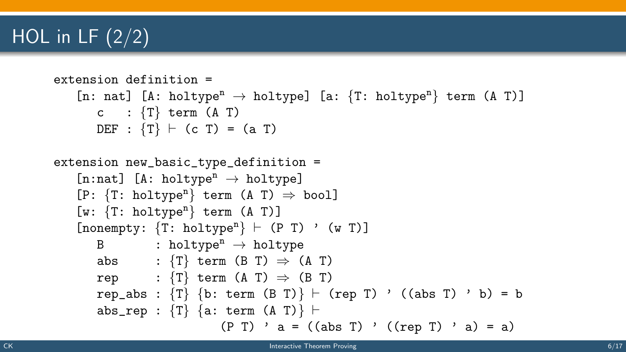# HOL in LF  $(2/2)$

```
extension definition =
    [n: nat] [A: holtype<sup>n</sup> \rightarrow holtype] [a: {T: holtype<sup>n</sup>} term (A T)]
       c : \{T\} term (A \ T)DEF : \{T\} \vdash (c T) = (a T)
extension new_basic_type_definition =
    [n:nat] [A: holtype<sup>n</sup> \rightarrow holtype]
    [P: {T: holtype<sup>n</sup>} term (A T) \Rightarrow bool][w: \{T: \text{holtype}^n\} \text{ term } (A T)][nonempty: {T: holtype<sup>n</sup>} \vdash (P T) ' (w T)]B : holtype<sup>n</sup> \rightarrow holtype
       abs : \{T\} term (B T) \Rightarrow (A T)
       rep : \{T\} term (A \ T) \Rightarrow (B \ T)rep_abs : \{T\} \{b: \text{term } (B T)\} \vdash (rep T) ' ((abs T) ' b) = b
       abs_rep : {T} {a: term (A T) } \vdash(P T) ' a = ((abs T) ' ((rep T) ' a) = a)
```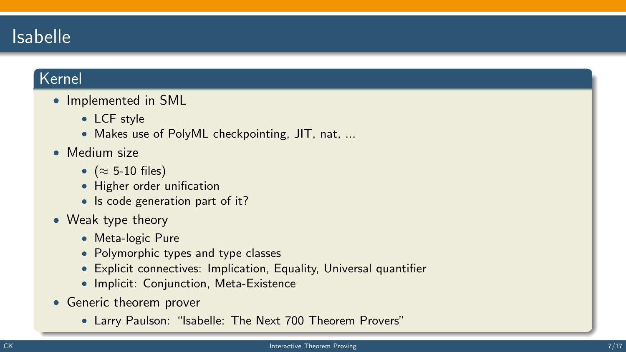# Isabelle

#### Kernel

- Implemented in SML
	- LCF style
	- Makes use of PolyML checkpointing, JIT, nat, ...
- Medium size
	- $(\approx 5{\text -}10 \text{ files})$
	- Higher order unification
	- Is code generation part of it?
- Weak type theory
	- Meta-logic Pure
	- Polymorphic types and type classes
	- Explicit connectives: Implication, Equality, Universal quantifier
	- Implicit: Conjunction, Meta-Existence
- Generic theorem prover
	- Larry Paulson: "Isabelle: The Next 700 Theorem Provers"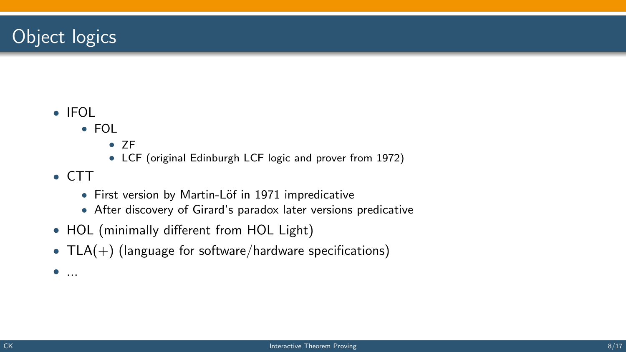# Object logics

- IFOL
	- FOL
		- ZF
		- LCF (original Edinburgh LCF logic and prover from 1972)
- CTT
	- First version by Martin-Löf in 1971 impredicative
	- After discovery of Girard's paradox later versions predicative
- HOL (minimally different from HOL Light)
- $TLA(+)$  (language for software/hardware specifications)
- $\bullet$  ...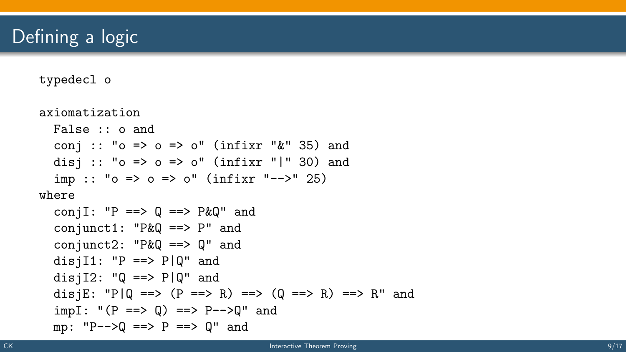# Defining a logic

typedecl o

```
axiomatization
  False :: o and
  conj :: "o \Rightarrow o \Rightarrow o" (infixr "\&" 35) and
  disj :: "o \Rightarrow o \Rightarrow o" (infixr "|" 30) and
  imp :: "o \Rightarrow o \Rightarrow o'' (infixr "-->" 25)
where
  conjI: PP == > Q == > P&Q" and
  conjunct1: "P\&Q ==> P" and
  conjunct2: "P\&Q == Q" and
  disjI1: "P == > P|Q" and
  disjI2: \mathbb{Q} \implies \mathbb{P}[\mathbb{Q}^n] and
  disjE: "P|Q ==> (P ==> R) ==> (Q ==> R) ==> R" and
  impI: "(P == > Q) == > P-->Q" and
  mp: "P--Q == P == Q" and
```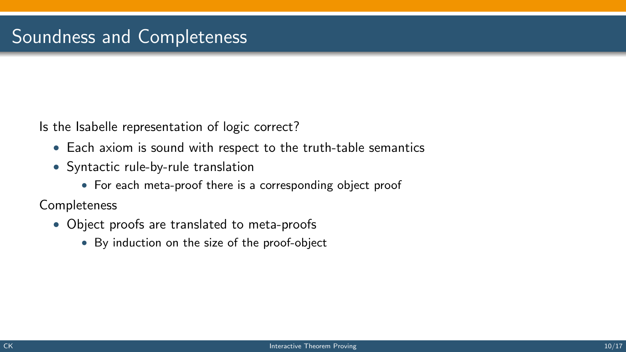Is the Isabelle representation of logic correct?

- Each axiom is sound with respect to the truth-table semantics
- Syntactic rule-by-rule translation
	- For each meta-proof there is a corresponding object proof

**Completeness** 

- Object proofs are translated to meta-proofs
	- By induction on the size of the proof-object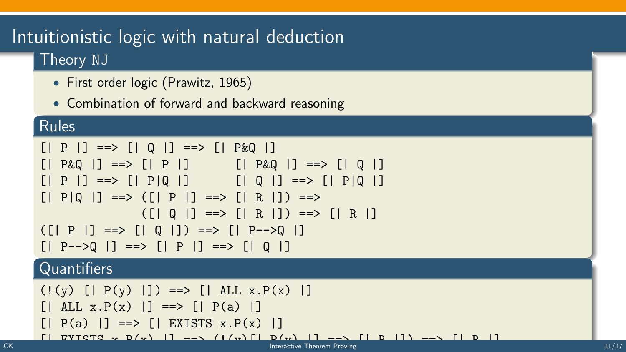## Intuitionistic logic with natural deduction Theory NJ

- First order logic (Prawitz, 1965)
- Combination of forward and backward reasoning

#### Rules

```
[ | P | ] = \Rightarrow [ | Q | ] = \Rightarrow [ | P \& Q | ][| P \& Q |] ==& > [| P |] [| P \& Q |] ==& > [| Q |][| P |] ==> [| P | Q |] [| Q |] ==> [| P | Q |][| P | Q |] ==> ([| P |] ==> [| R |]) ==>
                ([| Q |] ==> [| R |]) ==> [| R |]
([ | P | ] == > [ | Q | ]) == > [ | P-->Q | ][| P-->0 |] ==>| | P |] ==>| | Q |Quantifiers
```

```
(!(y) [ | P(y) | ] ) \implies [ | ALL x. P(x) | ][| ALL x.P(x) |] ==>| | P(a) |][| P(a) | ] ==> [| EXISTS x.P(x) | ][| EXISTS x.P(x) |] ==> (!(y)[| P(y) |] ==> [| R |]) ==> [| R |] CK Interactive Theorem Proving 11/17
```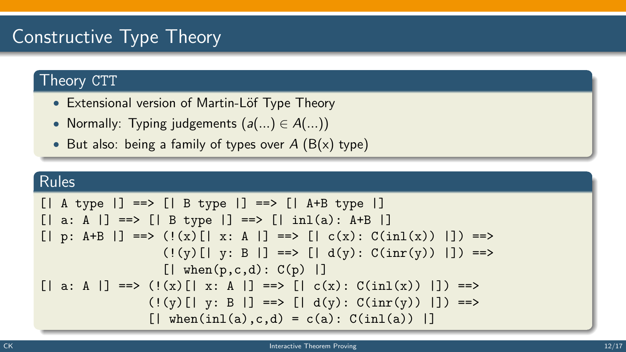# Constructive Type Theory

### Theory CTT

- Extensional version of Martin-Löf Type Theory
- Normally: Typing judgements  $(a(...) \in A(...)$
- But also: being a family of types over  $A(B(x))$  type)

### Rules

```
[| A \text{ type } |] ==> [| B \text{ type } |] ==> [| A+B \text{ type } |][ | a: A | ] ==& [ | B type | ] ==& [ | inl(a): A+B | ][| p: A+B |] ==> (!(x)[| x: A |] ==> [| c(x): C(inl(x)) |]) ==>
                     (!(y)[| y: B |] ==> [| d(y): C(inr(y)) |]) ==>
                     [ when(p, c, d): C(p) |]
\lceil \cdot | a: A \lceil \cdot | ==> (!(x)\lceil \cdot | x: A \lceil \cdot | ==> \lceil \cdot | c(x) : C(inl(x)) \rceil \rceil ==>
                   (!(y)[| y: B |] ==> [ | d(y): C(inv(y)) | ] =>[ when(inl(a),c,d) = c(a): C(inl(a)) |]
```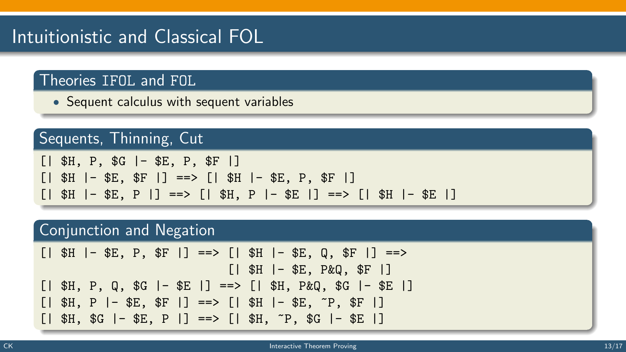# Intuitionistic and Classical FOL

### Theories IFOL and FOL

• Sequent calculus with sequent variables

### Sequents, Thinning, Cut

|  |  | $[$   \$H, P, \$G $]$ + \$E, P, \$F $]$                  |  |  |  |  |                                                                       |  |  |
|--|--|----------------------------------------------------------|--|--|--|--|-----------------------------------------------------------------------|--|--|
|  |  | $[$   \$H  - \$E, \$F  ] ==> $[$   \$H  - \$E, P, \$F  ] |  |  |  |  |                                                                       |  |  |
|  |  |                                                          |  |  |  |  | $[   $H   - $E, P   ] = > [   $H, P   - $E   ] = > [   $H   - $E   ]$ |  |  |

#### Conjunction and Negation

[| \$H |- \$E, P, \$F |] ==> [| \$H |- \$E, Q, \$F |] ==> [| \$H |- \$E, P&Q, \$F |] [| \$H, P, Q, \$G |- \$E |] ==> [| \$H, P&Q, \$G |- \$E |] [| \$H, P |- \$E, \$F |] ==> [| \$H |- \$E, ~P, \$F |] [| \$H, \$G |- \$E, P |] ==> [| \$H, ~P, \$G |- \$E |]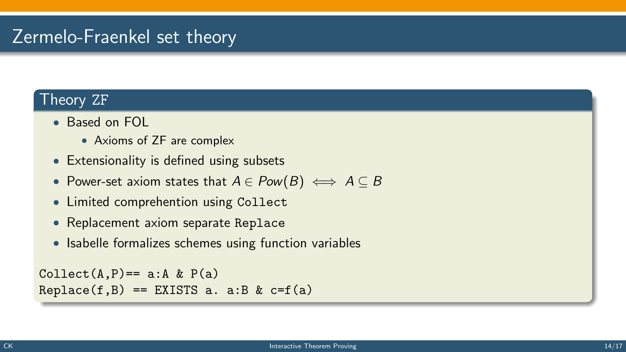# Zermelo-Fraenkel set theory

#### Theory ZF

- Based on FOL
	- Axioms of ZF are complex
- Extensionality is defined using subsets
- Power-set axiom states that  $A \in Pow(B) \iff A \subseteq B$
- Limited comprehention using Collect
- Replacement axiom separate Replace
- Isabelle formalizes schemes using function variables

```
Collect(A, P) == a:A & P(a)Replace(f, B) == EXISTS a. a:B & c=f(a)
```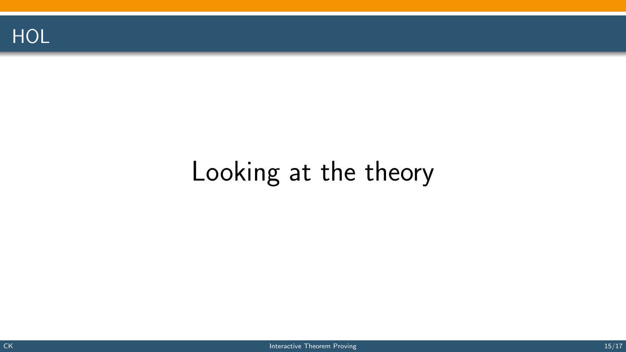

# Looking at the theory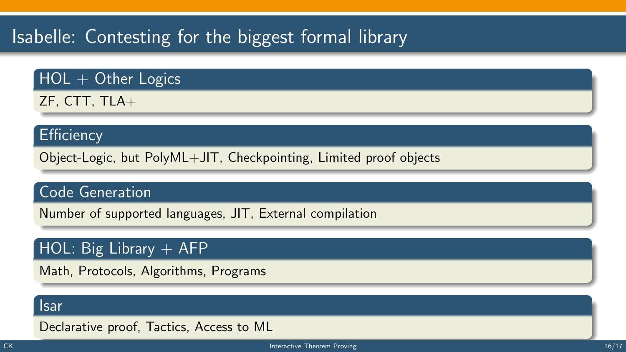# Isabelle: Contesting for the biggest formal library

### $HOL + Other Logics$

ZF, CTT, TLA+

#### **Efficiency**

Object-Logic, but PolyML+JIT, Checkpointing, Limited proof objects

#### Code Generation

Number of supported languages, JIT, External compilation

### HOL: Big Library  $+$  AFP

Math, Protocols, Algorithms, Programs

#### Isar

Declarative proof, Tactics, Access to ML